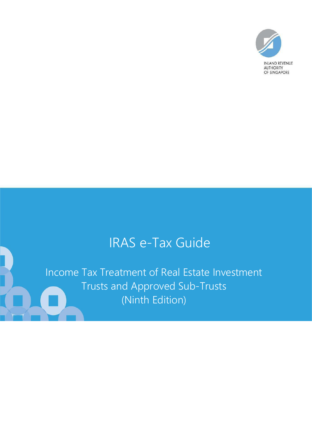

# IRAS e-Tax Guide

Income Tax Treatment of Real Estate Investment Trusts and Approved Sub-Trusts (Ninth Edition)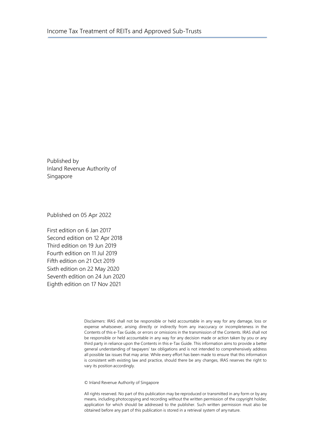Published by Inland Revenue Authority of Singapore

Published on 05 Apr 2022

First edition on 6 Jan 2017 Second edition on 12 Apr 2018 Third edition on 19 Jun 2019 Fourth edition on 11 Jul 2019 Fifth edition on 21 Oct 2019 Sixth edition on 22 May 2020 Seventh edition on 24 Jun 2020 Eighth edition on 17 Nov 2021

> Disclaimers: IRAS shall not be responsible or held accountable in any way for any damage, loss or expense whatsoever, arising directly or indirectly from any inaccuracy or incompleteness in the Contents of this e-Tax Guide, or errors or omissions in the transmission of the Contents. IRAS shall not be responsible or held accountable in any way for any decision made or action taken by you or any third party in reliance upon the Contents in this e-Tax Guide. This information aims to provide a better general understanding of taxpayers' tax obligations and is not intended to comprehensively address all possible tax issues that may arise. While every effort has been made to ensure that this information is consistent with existing law and practice, should there be any changes, IRAS reserves the right to vary its position accordingly.

© Inland Revenue Authority of Singapore

All rights reserved. No part of this publication may be reproduced or transmitted in any form or by any means, including photocopying and recording without the written permission of the copyright holder, application for which should be addressed to the publisher. Such written permission must also be obtained before any part of this publication is stored in a retrieval system of anynature.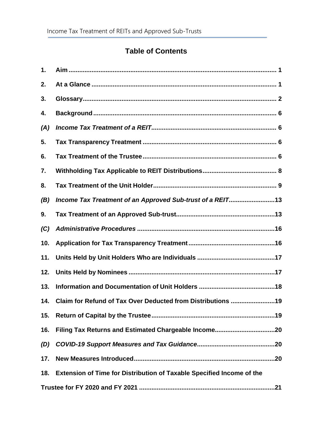# **Table of Contents**

| 1.  |                                                                       |
|-----|-----------------------------------------------------------------------|
| 2.  |                                                                       |
| 3.  |                                                                       |
| 4.  |                                                                       |
| (A) |                                                                       |
| 5.  |                                                                       |
| 6.  |                                                                       |
| 7.  |                                                                       |
| 8.  |                                                                       |
| (B) | Income Tax Treatment of an Approved Sub-trust of a REIT13             |
| 9.  |                                                                       |
| (C) |                                                                       |
| 10. |                                                                       |
| 11. |                                                                       |
| 12. |                                                                       |
| 13. |                                                                       |
|     | 14. Claim for Refund of Tax Over Deducted from Distributions 19       |
| 15. |                                                                       |
| 16. |                                                                       |
| (D) |                                                                       |
| 17. |                                                                       |
| 18. | Extension of Time for Distribution of Taxable Specified Income of the |
|     |                                                                       |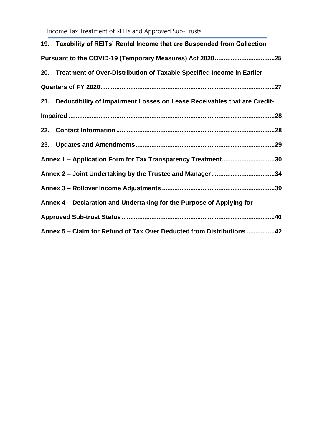Income Tax Treatment of REITs and Approved Sub-Trusts

| 19. Taxability of REITs' Rental Income that are Suspended from Collection    |  |
|------------------------------------------------------------------------------|--|
|                                                                              |  |
| 20. Treatment of Over-Distribution of Taxable Specified Income in Earlier    |  |
|                                                                              |  |
| 21. Deductibility of Impairment Losses on Lease Receivables that are Credit- |  |
|                                                                              |  |
|                                                                              |  |
|                                                                              |  |
| Annex 1 - Application Form for Tax Transparency Treatment30                  |  |
| Annex 2 – Joint Undertaking by the Trustee and Manager34                     |  |
|                                                                              |  |
| Annex 4 – Declaration and Undertaking for the Purpose of Applying for        |  |
|                                                                              |  |
| Annex 5 - Claim for Refund of Tax Over Deducted from Distributions 42        |  |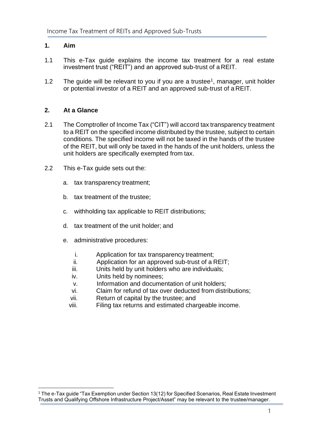#### <span id="page-4-0"></span>**1. Aim**

- 1.1 This e-Tax guide explains the income tax treatment for a real estate investment trust ("REIT") and an approved sub-trust of a REIT.
- 1.2 The guide will be relevant to you if you are a trustee<sup>1</sup>, manager, unit holder or potential investor of a REIT and an approved sub-trust of a REIT.

#### <span id="page-4-1"></span>**2. At a Glance**

- 2.1 The Comptroller of Income Tax ("CIT") will accord tax transparency treatment to a REIT on the specified income distributed by the trustee, subject to certain conditions. The specified income will not be taxed in the hands of the trustee of the REIT, but will only be taxed in the hands of the unit holders, unless the unit holders are specifically exempted from tax.
- 2.2 This e-Tax guide sets out the:
	- a. tax transparency treatment;
	- b. tax treatment of the trustee;
	- c. withholding tax applicable to REIT distributions;
	- d. tax treatment of the unit holder; and
	- e. administrative procedures:
		- i. Application for tax transparency treatment;
		- ii. Application for an approved sub-trust of a REIT;
		- iii. Units held by unit holders who are individuals;
		- iv. Units held by nominees;
		- v. Information and documentation of unit holders;
		- vi. Claim for refund of tax over deducted from distributions;
		- vii. Return of capital by the trustee; and
		- viii. Filing tax returns and estimated chargeable income.

<sup>1</sup> The e-Tax guide "Tax Exemption under Section 13(12) for Specified Scenarios, Real Estate Investment Trusts and Qualifying Offshore Infrastructure Project/Asset" may be relevant to the trustee/manager.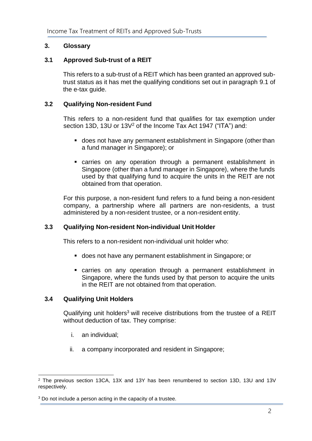## <span id="page-5-0"></span>**3. Glossary**

## **3.1 Approved Sub-trust of a REIT**

This refers to a sub-trust of a REIT which has been granted an approved subtrust status as it has met the qualifying conditions set out in paragraph 9.1 of the e-tax guide.

## **3.2 Qualifying Non-resident Fund**

This refers to a non-resident fund that qualifies for tax exemption under section 13D, 13U or 13V<sup>2</sup> of the Income Tax Act 1947 ("ITA") and:

- does not have any permanent establishment in Singapore (other than a fund manager in Singapore); or
- carries on any operation through a permanent establishment in Singapore (other than a fund manager in Singapore), where the funds used by that qualifying fund to acquire the units in the REIT are not obtained from that operation.

For this purpose, a non-resident fund refers to a fund being a non-resident company, a partnership where all partners are non-residents, a trust administered by a non-resident trustee, or a non-resident entity.

## **3.3 Qualifying Non-resident Non-individual Unit Holder**

This refers to a non-resident non-individual unit holder who:

- does not have any permanent establishment in Singapore; or
- carries on any operation through a permanent establishment in Singapore, where the funds used by that person to acquire the units in the REIT are not obtained from that operation.

## **3.4 Qualifying Unit Holders**

Qualifying unit holders<sup>3</sup> will receive distributions from the trustee of a REIT without deduction of tax. They comprise:

- i. an individual;
- ii. a company incorporated and resident in Singapore;

<sup>2</sup> The previous section 13CA, 13X and 13Y has been renumbered to section 13D, 13U and 13V respectively.

<sup>&</sup>lt;sup>3</sup> Do not include a person acting in the capacity of a trustee.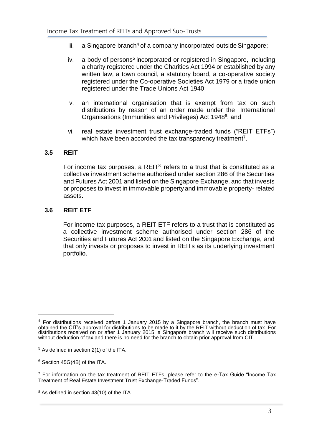- $iii.$  a Singapore branch<sup>4</sup> of a company incorporated outside Singapore;
- iv. a body of persons<sup>5</sup> incorporated or registered in Singapore, including a charity registered under the Charities Act 1994 or established by any written law, a town council, a statutory board, a co-operative society registered under the Co-operative Societies Act 1979 or a trade union registered under the Trade Unions Act 1940;
- v. an international organisation that is exempt from tax on such distributions by reason of an order made under the International Organisations (Immunities and Privileges) Act 1948<sup>6</sup>; and
- vi. real estate investment trust exchange-traded funds ("REIT ETFs") which have been accorded the tax transparency treatment<sup>7</sup>.

#### **3.5 REIT**

For income tax purposes, a REIT $<sup>8</sup>$  refers to a trust that is constituted as a</sup> collective investment scheme authorised under section 286 of the Securities and Futures Act 2001 and listed on the Singapore Exchange, and that invests or proposes to invest in immovable property and immovable property- related assets.

## **3.6 REIT ETF**

For income tax purposes, a REIT ETF refers to a trust that is constituted as a collective investment scheme authorised under section 286 of the Securities and Futures Act 2001 and listed on the Singapore Exchange, and that only invests or proposes to invest in REITs as its underlying investment portfolio.

 $4$  For distributions received before 1 January 2015 by a Singapore branch, the branch must have obtained the CIT's approval for distributions to be made to it by the REIT without deduction of tax. For distributions received on or after 1 January 2015, a Singapore branch will receive such distributions without deduction of tax and there is no need for the branch to obtain prior approval from CIT.

 $5$  As defined in section 2(1) of the ITA.

<sup>6</sup> Section 45G(4B) of the ITA.

<sup>&</sup>lt;sup>7</sup> For information on the tax treatment of REIT ETFs, please refer to the e-Tax Guide "Income Tax Treatment of Real Estate Investment Trust Exchange-Traded Funds".

<sup>8</sup> As defined in section 43(10) of the ITA.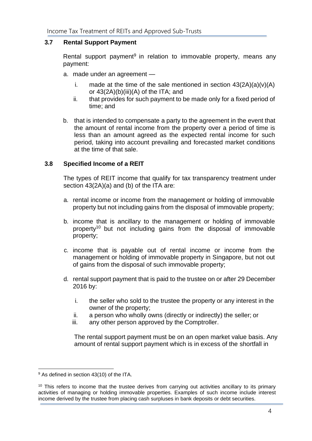## **3.7 Rental Support Payment**

Rental support payment<sup>9</sup> in relation to immovable property, means any payment:

- a. made under an agreement
	- i. made at the time of the sale mentioned in section  $43(2A)(a)(v)(A)$ or 43(2A)(b)(iii)(A) of the ITA; and
	- ii. that provides for such payment to be made only for a fixed period of time; and
- b. that is intended to compensate a party to the agreement in the event that the amount of rental income from the property over a period of time is less than an amount agreed as the expected rental income for such period, taking into account prevailing and forecasted market conditions at the time of that sale.

## **3.8 Specified Income of a REIT**

The types of REIT income that qualify for tax transparency treatment under section 43(2A)(a) and (b) of the ITA are:

- a. rental income or income from the management or holding of immovable property but not including gains from the disposal of immovable property;
- b. income that is ancillary to the management or holding of immovable property<sup>10</sup> but not including gains from the disposal of immovable property;
- c. income that is payable out of rental income or income from the management or holding of immovable property in Singapore, but not out of gains from the disposal of such immovable property;
- d. rental support payment that is paid to the trustee on or after 29 December 2016 by:
	- i. the seller who sold to the trustee the property or any interest in the owner of the property;
	- ii. a person who wholly owns (directly or indirectly) the seller; or
	- iii. any other person approved by the Comptroller.

The rental support payment must be on an open market value basis. Any amount of rental support payment which is in excess of the shortfall in

<sup>9</sup> As defined in section 43(10) of the ITA.

<sup>&</sup>lt;sup>10</sup> This refers to income that the trustee derives from carrying out activities ancillary to its primary activities of managing or holding immovable properties. Examples of such income include interest income derived by the trustee from placing cash surpluses in bank deposits or debt securities.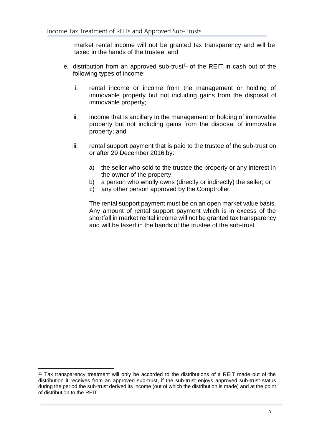market rental income will not be granted tax transparency and will be taxed in the hands of the trustee; and

- e. distribution from an approved sub-trust<sup>11</sup> of the REIT in cash out of the following types of income:
	- i. rental income or income from the management or holding of immovable property but not including gains from the disposal of immovable property;
	- ii. income that is ancillary to the management or holding of immovable property but not including gains from the disposal of immovable property; and
	- iii. rental support payment that is paid to the trustee of the sub-trust on or after 29 December 2016 by:
		- a) the seller who sold to the trustee the property or any interest in the owner of the property;
		- b) a person who wholly owns (directly or indirectly) the seller; or
		- c) any other person approved by the Comptroller.

The rental support payment must be on an open market value basis. Any amount of rental support payment which is in excess of the shortfall in market rental income will not be granted tax transparency and will be taxed in the hands of the trustee of the sub-trust.

<sup>11</sup> Tax transparency treatment will only be accorded to the distributions of a REIT made out of the distribution it receives from an approved sub-trust, if the sub-trust enjoys approved sub-trust status during the period the sub-trust derived its income (out of which the distribution is made) and at the point of distribution to the REIT.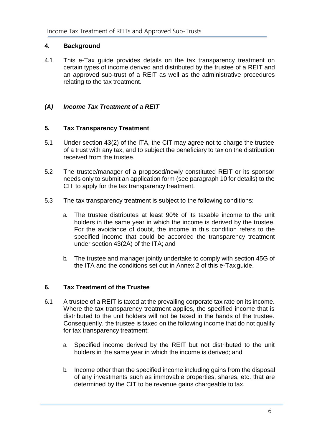## <span id="page-9-0"></span>**4. Background**

4.1 This e-Tax guide provides details on the tax transparency treatment on certain types of income derived and distributed by the trustee of a REIT and an approved sub-trust of a REIT as well as the administrative procedures relating to the tax treatment.

## <span id="page-9-1"></span>*(A) Income Tax Treatment of a REIT*

## <span id="page-9-2"></span>**5. Tax Transparency Treatment**

- 5.1 Under section 43(2) of the ITA, the CIT may agree not to charge the trustee of a trust with any tax, and to subject the beneficiary to tax on the distribution received from the trustee.
- 5.2 The trustee/manager of a proposed/newly constituted REIT or its sponsor needs only to submit an application form (see paragraph 10 for details) to the CIT to apply for the tax transparency treatment.
- 5.3 The tax transparency treatment is subject to the following conditions:
	- a. The trustee distributes at least 90% of its taxable income to the unit holders in the same year in which the income is derived by the trustee. For the avoidance of doubt, the income in this condition refers to the specified income that could be accorded the transparency treatment under section 43(2A) of the ITA; and
	- b. The trustee and manager jointly undertake to comply with section 45G of the ITA and the conditions set out in Annex 2 of this e-Tax guide.

## <span id="page-9-3"></span>**6. Tax Treatment of the Trustee**

- 6.1 A trustee of a REIT is taxed at the prevailing corporate tax rate on its income. Where the tax transparency treatment applies, the specified income that is distributed to the unit holders will not be taxed in the hands of the trustee. Consequently, the trustee is taxed on the following income that do not qualify for tax transparency treatment:
	- a. Specified income derived by the REIT but not distributed to the unit holders in the same year in which the income is derived; and
	- b. Income other than the specified income including gains from the disposal of any investments such as immovable properties, shares, etc. that are determined by the CIT to be revenue gains chargeable to tax.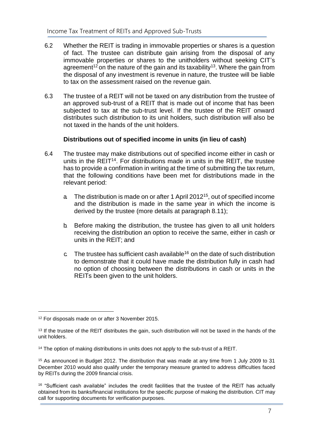- 6.2 Whether the REIT is trading in immovable properties or shares is a question of fact. The trustee can distribute gain arising from the disposal of any immovable properties or shares to the unitholders without seeking CIT's agreement<sup>12</sup> on the nature of the gain and its taxability<sup>13</sup>. Where the gain from the disposal of any investment is revenue in nature, the trustee will be liable to tax on the assessment raised on the revenue gain.
- 6.3 The trustee of a REIT will not be taxed on any distribution from the trustee of an approved sub-trust of a REIT that is made out of income that has been subjected to tax at the sub-trust level. If the trustee of the REIT onward distributes such distribution to its unit holders, such distribution will also be not taxed in the hands of the unit holders.

## **Distributions out of specified income in units (in lieu of cash)**

- 6.4 The trustee may make distributions out of specified income either in cash or units in the REIT<sup>14</sup>. For distributions made in units in the REIT, the trustee has to provide a confirmation in writing at the time of submitting the tax return, that the following conditions have been met for distributions made in the relevant period:
	- a The distribution is made on or after 1 April 2012<sup>15</sup>, out of specified income and the distribution is made in the same year in which the income is derived by the trustee (more details at paragraph 8.11);
	- b. Before making the distribution, the trustee has given to all unit holders receiving the distribution an option to receive the same, either in cash or units in the REIT; and
	- c. The trustee has sufficient cash available<sup>16</sup> on the date of such distribution to demonstrate that it could have made the distribution fully in cash had no option of choosing between the distributions in cash or units in the REITs been given to the unit holders.

<sup>&</sup>lt;sup>12</sup> For disposals made on or after 3 November 2015.

<sup>&</sup>lt;sup>13</sup> If the trustee of the REIT distributes the gain, such distribution will not be taxed in the hands of the unit holders.

<sup>&</sup>lt;sup>14</sup> The option of making distributions in units does not apply to the sub-trust of a REIT.

<sup>&</sup>lt;sup>15</sup> As announced in Budget 2012. The distribution that was made at any time from 1 July 2009 to 31 December 2010 would also qualify under the temporary measure granted to address difficulties faced by REITs during the 2009 financial crisis.

<sup>&</sup>lt;sup>16</sup> "Sufficient cash available" includes the credit facilities that the trustee of the REIT has actually obtained from its banks/financial institutions for the specific purpose of making the distribution. CIT may call for supporting documents for verification purposes.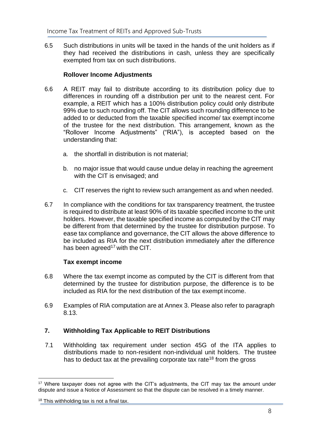6.5 Such distributions in units will be taxed in the hands of the unit holders as if they had received the distributions in cash, unless they are specifically exempted from tax on such distributions.

## **Rollover Income Adjustments**

- 6.6 A REIT may fail to distribute according to its distribution policy due to differences in rounding off a distribution per unit to the nearest cent. For example, a REIT which has a 100% distribution policy could only distribute 99% due to such rounding off. The CIT allows such rounding difference to be added to or deducted from the taxable specified income/ tax exempt income of the trustee for the next distribution. This arrangement, known as the "Rollover Income Adjustments" ("RIA"), is accepted based on the understanding that:
	- a. the shortfall in distribution is not material;
	- b. no major issue that would cause undue delay in reaching the agreement with the CIT is envisaged; and
	- c. CIT reserves the right to review such arrangement as and when needed.
- 6.7 In compliance with the conditions for tax transparency treatment, the trustee is required to distribute at least 90% of its taxable specified income to the unit holders. However, the taxable specified income as computed by the CIT may be different from that determined by the trustee for distribution purpose. To ease tax compliance and governance, the CIT allows the above difference to be included as RIA for the next distribution immediately after the difference has been agreed<sup>17</sup> with the CIT.

## **Tax exempt income**

- 6.8 Where the tax exempt income as computed by the CIT is different from that determined by the trustee for distribution purpose, the difference is to be included as RIA for the next distribution of the tax exempt income.
- 6.9 Examples of RIA computation are at Annex 3. Please also refer to paragraph 8.13.

## <span id="page-11-0"></span>**7. Withholding Tax Applicable to REIT Distributions**

7.1 Withholding tax requirement under section 45G of the ITA applies to distributions made to non-resident non-individual unit holders. The trustee has to deduct tax at the prevailing corporate tax rate<sup>18</sup> from the gross

<sup>&</sup>lt;sup>17</sup> Where taxpayer does not agree with the CIT's adjustments, the CIT may tax the amount under dispute and issue a Notice of Assessment so that the dispute can be resolved in a timely manner.

 $18$  This withholding tax is not a final tax.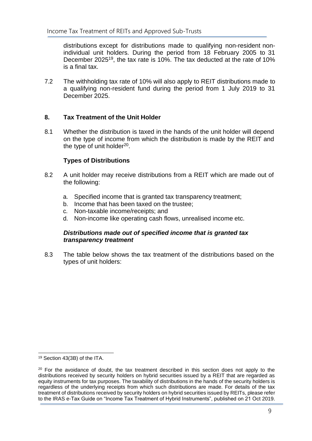distributions except for distributions made to qualifying non-resident nonindividual unit holders. During the period from 18 February 2005 to 31 December 2025<sup>19</sup>, the tax rate is 10%. The tax deducted at the rate of 10% is a final tax.

7.2 The withholding tax rate of 10% will also apply to REIT distributions made to a qualifying non-resident fund during the period from 1 July 2019 to 31 December 2025.

## <span id="page-12-0"></span>**8. Tax Treatment of the Unit Holder**

8.1 Whether the distribution is taxed in the hands of the unit holder will depend on the type of income from which the distribution is made by the REIT and the type of unit holder<sup>20</sup>.

## **Types of Distributions**

- 8.2 A unit holder may receive distributions from a REIT which are made out of the following:
	- a. Specified income that is granted tax transparency treatment;
	- b. Income that has been taxed on the trustee;
	- c. Non-taxable income/receipts; and
	- d. Non-income like operating cash flows, unrealised income etc.

## *Distributions made out of specified income that is granted tax transparency treatment*

8.3 The table below shows the tax treatment of the distributions based on the types of unit holders:

<sup>19</sup> Section 43(3B) of the ITA.

 $20$  For the avoidance of doubt, the tax treatment described in this section does not apply to the distributions received by security holders on hybrid securities issued by a REIT that are regarded as equity instruments for tax purposes. The taxability of distributions in the hands of the security holders is regardless of the underlying receipts from which such distributions are made. For details of the tax treatment of distributions received by security holders on hybrid securities issued by REITs, please refer to the IRAS e-Tax Guide on "Income Tax Treatment of Hybrid Instruments", published on 21 Oct 2019.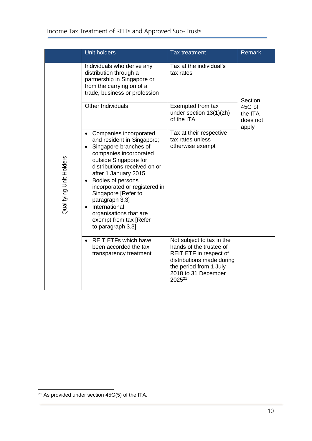|                         | <b>Unit holders</b>                                                                                                                                                                                                                                                                                                                                                                                         | <b>Tax treatment</b>                                                                                                                                                               | <b>Remark</b>                          |
|-------------------------|-------------------------------------------------------------------------------------------------------------------------------------------------------------------------------------------------------------------------------------------------------------------------------------------------------------------------------------------------------------------------------------------------------------|------------------------------------------------------------------------------------------------------------------------------------------------------------------------------------|----------------------------------------|
|                         | Individuals who derive any<br>distribution through a<br>partnership in Singapore or<br>from the carrying on of a<br>trade, business or profession                                                                                                                                                                                                                                                           | Tax at the individual's<br>tax rates                                                                                                                                               | Section                                |
|                         | Other Individuals                                                                                                                                                                                                                                                                                                                                                                                           | Exempted from tax<br>under section 13(1)(zh)<br>of the ITA                                                                                                                         | 45G of<br>the ITA<br>does not<br>apply |
| Qualifying Unit Holders | Companies incorporated<br>and resident in Singapore;<br>Singapore branches of<br>companies incorporated<br>outside Singapore for<br>distributions received on or<br>after 1 January 2015<br>Bodies of persons<br>$\bullet$<br>incorporated or registered in<br>Singapore [Refer to<br>paragraph 3.3]<br>International<br>$\bullet$<br>organisations that are<br>exempt from tax [Refer<br>to paragraph 3.3] | Tax at their respective<br>tax rates unless<br>otherwise exempt                                                                                                                    |                                        |
|                         | <b>REIT ETFs which have</b><br>been accorded the tax<br>transparency treatment                                                                                                                                                                                                                                                                                                                              | Not subject to tax in the<br>hands of the trustee of<br>REIT ETF in respect of<br>distributions made during<br>the period from 1 July<br>2018 to 31 December<br>2025 <sup>21</sup> |                                        |

 $21$  As provided under section 45G(5) of the ITA.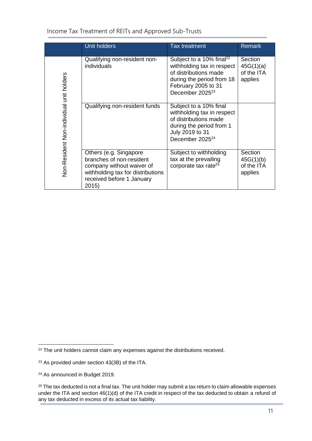|                                          | <b>Unit holders</b>                                                                                                                                        | Tax treatment                                                                                                                                                                  | <b>Remark</b>                                 |
|------------------------------------------|------------------------------------------------------------------------------------------------------------------------------------------------------------|--------------------------------------------------------------------------------------------------------------------------------------------------------------------------------|-----------------------------------------------|
|                                          | Qualifying non-resident non-<br>individuals                                                                                                                | Subject to a 10% final <sup>22</sup><br>withholding tax in respect<br>of distributions made<br>during the period from 18<br>February 2005 to 31<br>December 2025 <sup>23</sup> | Section<br>45G(1)(a)<br>of the ITA<br>applies |
| Non-Resident Non-individual unit holders | Qualifying non-resident funds                                                                                                                              | Subject to a 10% final<br>withholding tax in respect<br>of distributions made<br>during the period from 1<br>July 2019 to 31<br>December 2025 <sup>24</sup>                    |                                               |
|                                          | Others (e.g. Singapore<br>branches of non-resident<br>company without waiver of<br>withholding tax for distributions<br>received before 1 January<br>2015) | Subject to withholding<br>tax at the prevailing<br>corporate tax rate <sup>25</sup>                                                                                            | Section<br>45G(1)(b)<br>of the ITA<br>applies |

Income Tax Treatment of REITs and Approved Sub-Trusts

<sup>&</sup>lt;sup>22</sup> The unit holders cannot claim any expenses against the distributions received.

<sup>23</sup> As provided under section 43(3B) of the ITA.

<sup>24</sup> As announced in Budget 2019.

<sup>&</sup>lt;sup>25</sup> The tax deducted is not a final tax. The unit holder may submit a tax return to claim allowable expenses under the ITA and section 46(1)(d) of the ITA credit in respect of the tax deducted to obtain a refund of any tax deducted in excess of its actual tax liability.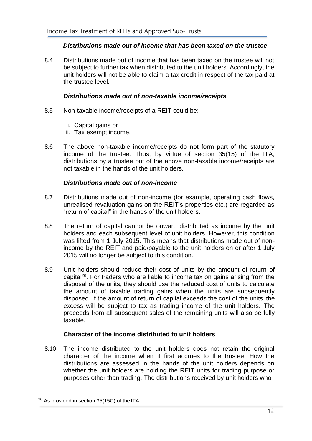## *Distributions made out of income that has been taxed on the trustee*

8.4 Distributions made out of income that has been taxed on the trustee will not be subject to further tax when distributed to the unit holders. Accordingly, the unit holders will not be able to claim a tax credit in respect of the tax paid at the trustee level.

## *Distributions made out of non-taxable income/receipts*

- 8.5 Non-taxable income/receipts of a REIT could be:
	- i. Capital gains or
	- ii. Tax exempt income.
- 8.6 The above non-taxable income/receipts do not form part of the statutory income of the trustee. Thus, by virtue of section 35(15) of the ITA, distributions by a trustee out of the above non-taxable income/receipts are not taxable in the hands of the unit holders.

## *Distributions made out of non-income*

- 8.7 Distributions made out of non-income (for example, operating cash flows, unrealised revaluation gains on the REIT's properties etc.) are regarded as "return of capital" in the hands of the unit holders.
- 8.8 The return of capital cannot be onward distributed as income by the unit holders and each subsequent level of unit holders. However, this condition was lifted from 1 July 2015. This means that distributions made out of nonincome by the REIT and paid/payable to the unit holders on or after 1 July 2015 will no longer be subject to this condition.
- 8.9 Unit holders should reduce their cost of units by the amount of return of capital<sup>26</sup>. For traders who are liable to income tax on gains arising from the disposal of the units, they should use the reduced cost of units to calculate the amount of taxable trading gains when the units are subsequently disposed. If the amount of return of capital exceeds the cost of the units, the excess will be subject to tax as trading income of the unit holders. The proceeds from all subsequent sales of the remaining units will also be fully taxable.

## **Character of the income distributed to unit holders**

8.10 The income distributed to the unit holders does not retain the original character of the income when it first accrues to the trustee. How the distributions are assessed in the hands of the unit holders depends on whether the unit holders are holding the REIT units for trading purpose or purposes other than trading. The distributions received by unit holders who

 $26$  As provided in section 35(15C) of the ITA.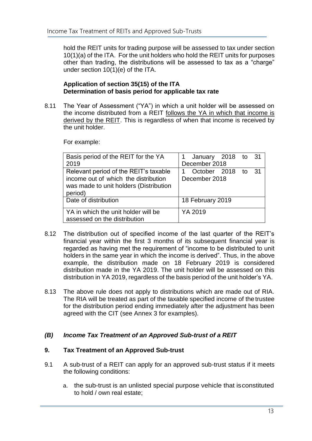hold the REIT units for trading purpose will be assessed to tax under section 10(1)(a) of the ITA. For the unit holders who hold the REIT units for purposes other than trading, the distributions will be assessed to tax as a "charge" under section 10(1)(e) of the ITA.

## **Application of section 35(15) of the ITA Determination of basis period for applicable tax rate**

8.11 The Year of Assessment ("YA") in which a unit holder will be assessed on the income distributed from a REIT follows the YA in which that income is derived by the REIT. This is regardless of when that income is received by the unit holder.

For example:

| Basis period of the REIT for the YA    | 1 January 2018 to 31    |
|----------------------------------------|-------------------------|
| 2019                                   | December 2018           |
| Relevant period of the REIT's taxable  | October 2018 to<br>- 31 |
| income out of which the distribution   | December 2018           |
| was made to unit holders (Distribution |                         |
| period)                                |                         |
| Date of distribution                   | 18 February 2019        |
|                                        |                         |
| YA in which the unit holder will be    | YA 2019                 |
| assessed on the distribution           |                         |

- 8.12 The distribution out of specified income of the last quarter of the REIT's financial year within the first 3 months of its subsequent financial year is regarded as having met the requirement of "income to be distributed to unit holders in the same year in which the income is derived". Thus, in the above example, the distribution made on 18 February 2019 is considered distribution made in the YA 2019. The unit holder will be assessed on this distribution in YA 2019, regardless of the basis period of the unit holder's YA.
- 8.13 The above rule does not apply to distributions which are made out of RIA. The RIA will be treated as part of the taxable specified income of the trustee for the distribution period ending immediately after the adjustment has been agreed with the CIT (see Annex 3 for examples).

## <span id="page-16-0"></span>*(B) Income Tax Treatment of an Approved Sub-trust of a REIT*

## <span id="page-16-1"></span>**9. Tax Treatment of an Approved Sub-trust**

- 9.1 A sub-trust of a REIT can apply for an approved sub-trust status if it meets the following conditions:
	- a. the sub-trust is an unlisted special purpose vehicle that isconstituted to hold / own real estate;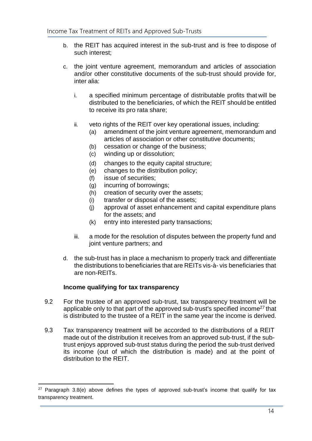- b. the REIT has acquired interest in the sub-trust and is free to dispose of such interest;
- c. the joint venture agreement, memorandum and articles of association and/or other constitutive documents of the sub-trust should provide for, inter alia:
	- i. a specified minimum percentage of distributable profits that will be distributed to the beneficiaries, of which the REIT should be entitled to receive its pro rata share;
	- ii. veto rights of the REIT over key operational issues, including:
		- (a) amendment of the joint venture agreement, memorandum and articles of association or other constitutive documents;
		- (b) cessation or change of the business;
		- (c) winding up or dissolution;
		- (d) changes to the equity capital structure;
		- (e) changes to the distribution policy;
		- (f) issue of securities;
		- (g) incurring of borrowings;
		- (h) creation of security over the assets;
		- (i) transfer or disposal of the assets;
		- (j) approval of asset enhancement and capital expenditure plans for the assets; and
		- (k) entry into interested party transactions;
	- iii. a mode for the resolution of disputes between the property fund and joint venture partners; and
- d. the sub-trust has in place a mechanism to properly track and differentiate the distributions to beneficiaries that are REITs vis-à- vis beneficiaries that are non-REITs.

#### **Income qualifying for tax transparency**

- 9.2 For the trustee of an approved sub-trust, tax transparency treatment will be applicable only to that part of the approved sub-trust's specified income<sup>27</sup> that is distributed to the trustee of a REIT in the same year the income is derived.
- 9.3 Tax transparency treatment will be accorded to the distributions of a REIT made out of the distribution it receives from an approved sub-trust, if the subtrust enjoys approved sub-trust status during the period the sub-trust derived its income (out of which the distribution is made) and at the point of distribution to the REIT.

 $27$  Paragraph 3.8(e) above defines the types of approved sub-trust's income that qualify for tax transparency treatment.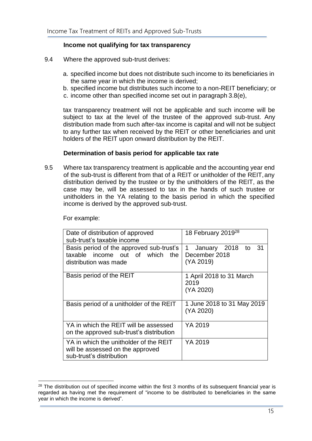## **Income not qualifying for tax transparency**

- 9.4 Where the approved sub-trust derives:
	- a. specified income but does not distribute such income to its beneficiaries in the same year in which the income is derived;
	- b. specified income but distributes such income to a non-REIT beneficiary; or
	- c. income other than specified income set out in paragraph 3.8(e),

tax transparency treatment will not be applicable and such income will be subject to tax at the level of the trustee of the approved sub-trust. Any distribution made from such after-tax income is capital and will not be subject to any further tax when received by the REIT or other beneficiaries and unit holders of the REIT upon onward distribution by the REIT.

## **Determination of basis period for applicable tax rate**

9.5 Where tax transparency treatment is applicable and the accounting year end of the sub-trust is different from that of a REIT or unitholder of the REIT,any distribution derived by the trustee or by the unitholders of the REIT, as the case may be, will be assessed to tax in the hands of such trustee or unitholders in the YA relating to the basis period in which the specified income is derived by the approved sub-trust.

| Date of distribution of approved<br>sub-trust's taxable income                                         | 18 February 2019 <sup>28</sup>                               |
|--------------------------------------------------------------------------------------------------------|--------------------------------------------------------------|
| Basis period of the approved sub-trust's<br>taxable income out of which the<br>distribution was made   | -31<br>1<br>January 2018<br>to<br>December 2018<br>(YA 2019) |
| Basis period of the REIT                                                                               | 1 April 2018 to 31 March<br>2019<br>(YA 2020)                |
| Basis period of a unitholder of the REIT                                                               | 1 June 2018 to 31 May 2019<br>(YA 2020)                      |
| YA in which the REIT will be assessed<br>on the approved sub-trust's distribution                      | YA 2019                                                      |
| YA in which the unitholder of the REIT<br>will be assessed on the approved<br>sub-trust's distribution | YA 2019                                                      |

For example:

<sup>&</sup>lt;sup>28</sup> The distribution out of specified income within the first 3 months of its subsequent financial year is regarded as having met the requirement of "income to be distributed to beneficiaries in the same year in which the income is derived".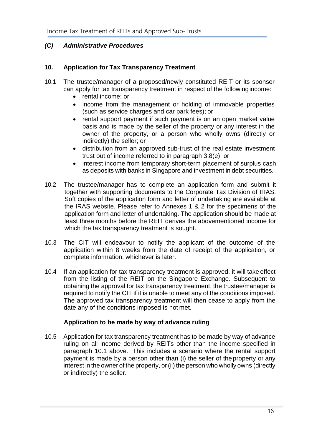## <span id="page-19-0"></span>*(C) Administrative Procedures*

## <span id="page-19-1"></span>**10. Application for Tax Transparency Treatment**

- 10.1 The trustee/manager of a proposed/newly constituted REIT or its sponsor can apply for tax transparency treatment in respect of the followingincome:
	- rental income; or
	- income from the management or holding of immovable properties (such as service charges and car park fees); or
	- rental support payment if such payment is on an open market value basis and is made by the seller of the property or any interest in the owner of the property, or a person who wholly owns (directly or indirectly) the seller; or
	- distribution from an approved sub-trust of the real estate investment trust out of income referred to in paragraph 3.8(e); or
	- interest income from temporary short-term placement of surplus cash as deposits with banks in Singapore and investment in debt securities.
- 10.2 The trustee/manager has to complete an application form and submit it together with supporting documents to the Corporate Tax Division of IRAS. Soft copies of the application form and letter of undertaking are available at the IRAS website. Please refer to Annexes 1 & 2 for the specimens of the application form and letter of undertaking. The application should be made at least three months before the REIT derives the abovementioned income for which the tax transparency treatment is sought.
- 10.3 The CIT will endeavour to notify the applicant of the outcome of the application within 8 weeks from the date of receipt of the application, or complete information, whichever is later.
- 10.4 If an application for tax transparency treatment is approved, it will take effect from the listing of the REIT on the Singapore Exchange. Subsequent to obtaining the approval for tax transparency treatment, the trustee/manager is required to notify the CIT if it is unable to meet any of the conditions imposed. The approved tax transparency treatment will then cease to apply from the date any of the conditions imposed is not met.

## **Application to be made by way of advance ruling**

10.5 Application for tax transparency treatment has to be made by way of advance ruling on all income derived by REITs other than the income specified in paragraph 10.1 above. This includes a scenario where the rental support payment is made by a person other than (i) the seller of the property or any interest in the owner of the property, or (ii) the person who wholly owns (directly or indirectly) the seller.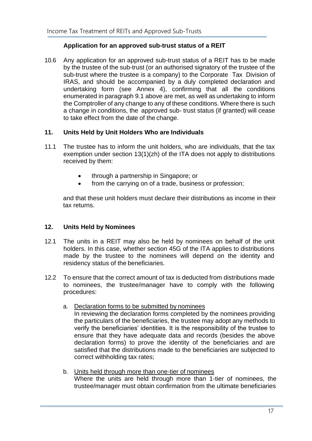## **Application for an approved sub-trust status of a REIT**

10.6 Any application for an approved sub-trust status of a REIT has to be made by the trustee of the sub-trust (or an authorised signatory of the trustee of the sub-trust where the trustee is a company) to the Corporate Tax Division of IRAS, and should be accompanied by a duly completed declaration and undertaking form (see Annex 4), confirming that all the conditions enumerated in paragraph 9.1 above are met, as well as undertaking to inform the Comptroller of any change to any of these conditions. Where there is such a change in conditions, the approved sub- trust status (if granted) will cease to take effect from the date of the change.

## <span id="page-20-0"></span>**11. Units Held by Unit Holders Who are Individuals**

- 11.1 The trustee has to inform the unit holders, who are individuals, that the tax exemption under section 13(1)(zh) of the ITA does not apply to distributions received by them:
	- through a partnership in Singapore; or
	- from the carrying on of a trade, business or profession;

and that these unit holders must declare their distributions as income in their tax returns.

## <span id="page-20-1"></span>**12. Units Held by Nominees**

- 12.1 The units in a REIT may also be held by nominees on behalf of the unit holders. In this case, whether section 45G of the ITA applies to distributions made by the trustee to the nominees will depend on the identity and residency status of the beneficiaries.
- 12.2 To ensure that the correct amount of tax is deducted from distributions made to nominees, the trustee/manager have to comply with the following procedures:
	- a. Declaration forms to be submitted by nominees

In reviewing the declaration forms completed by the nominees providing the particulars of the beneficiaries, the trustee may adopt any methods to verify the beneficiaries' identities. It is the responsibility of the trustee to ensure that they have adequate data and records (besides the above declaration forms) to prove the identity of the beneficiaries and are satisfied that the distributions made to the beneficiaries are subjected to correct withholding tax rates;

b. Units held through more than one-tier of nominees Where the units are held through more than 1-tier of nominees, the trustee/manager must obtain confirmation from the ultimate beneficiaries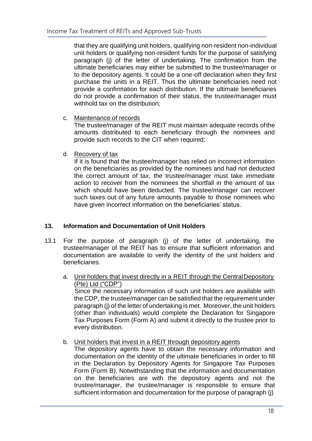that they are qualifying unit holders, qualifying non-resident non-individual unit holders or qualifying non-resident funds for the purpose of satisfying paragraph (j) of the letter of undertaking. The confirmation from the ultimate beneficiaries may either be submitted to the trustee/manager or to the depository agents. It could be a one-off declaration when they first purchase the units in a REIT. Thus the ultimate beneficiaries need not provide a confirmation for each distribution. If the ultimate beneficiaries do not provide a confirmation of their status, the trustee/manager must withhold tax on the distribution;

c. Maintenance of records

The trustee/manager of the REIT must maintain adequate records ofthe amounts distributed to each beneficiary through the nominees and provide such records to the CIT when required;

d. Recovery of tax

If it is found that the trustee/manager has relied on incorrect information on the beneficiaries as provided by the nominees and had not deducted the correct amount of tax, the trustee/manager must take immediate action to recover from the nominees the shortfall in the amount of tax which should have been deducted. The trustee/manager can recover such taxes out of any future amounts payable to those nominees who have given incorrect information on the beneficiaries' status.

## <span id="page-21-0"></span>**13. Information and Documentation of Unit Holders**

- 13.1 For the purpose of paragraph (j) of the letter of undertaking, the trustee/manager of the REIT has to ensure that sufficient information and documentation are available to verify the identity of the unit holders and beneficiaries.
	- a. Unit holders that invest directly in a REIT through the CentralDepository (Pte) Ltd ("CDP")

Since the necessary information of such unit holders are available with the CDP, the trustee/manager can be satisfied that the requirement under paragraph (j) of the letter of undertaking is met. Moreover, the unit holders (other than individuals) would complete the Declaration for Singapore Tax Purposes Form (Form A) and submit it directly to the trustee prior to every distribution.

b. Unit holders that invest in a REIT through depository agents

The depository agents have to obtain the necessary information and documentation on the identity of the ultimate beneficiaries in order to fill in the Declaration by Depository Agents for Singapore Tax Purposes Form (Form B). Notwithstanding that the information and documentation on the beneficiaries are with the depository agents and not the trustee/manager, the trustee/manager is responsible to ensure that sufficient information and documentation for the purpose of paragraph (j)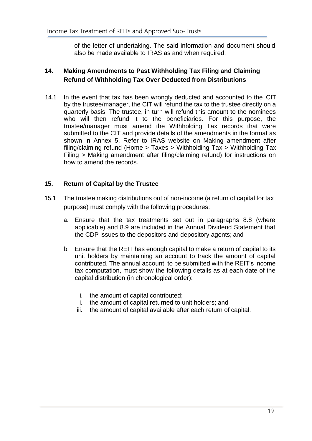of the letter of undertaking. The said information and document should also be made available to IRAS as and when required.

## <span id="page-22-0"></span>**14. Making Amendments to Past Withholding Tax Filing and Claiming Refund of Withholding Tax Over Deducted from Distributions**

14.1 In the event that tax has been wrongly deducted and accounted to the CIT by the trustee/manager, the CIT will refund the tax to the trustee directly on a quarterly basis. The trustee, in turn will refund this amount to the nominees who will then refund it to the beneficiaries. For this purpose, the trustee/manager must amend the Withholding Tax records that were submitted to the CIT and provide details of the amendments in the format as shown in Annex 5. Refer to IRAS website on Making amendment after filing/claiming refund (Home > Taxes > Withholding Tax > Withholding Tax Filing > Making amendment after filing/claiming refund) for instructions on how to amend the records.

## **15. Return of Capital by the Trustee**

- <span id="page-22-1"></span>15.1 The trustee making distributions out of non-income (a return of capital for tax purpose) must comply with the following procedures:
	- a. Ensure that the tax treatments set out in paragraphs 8.8 (where applicable) and 8.9 are included in the Annual Dividend Statement that the CDP issues to the depositors and depository agents; and
	- b. Ensure that the REIT has enough capital to make a return of capital to its unit holders by maintaining an account to track the amount of capital contributed. The annual account, to be submitted with the REIT's income tax computation, must show the following details as at each date of the capital distribution (in chronological order):
		- i. the amount of capital contributed;
		- ii. the amount of capital returned to unit holders; and
		- iii. the amount of capital available after each return of capital.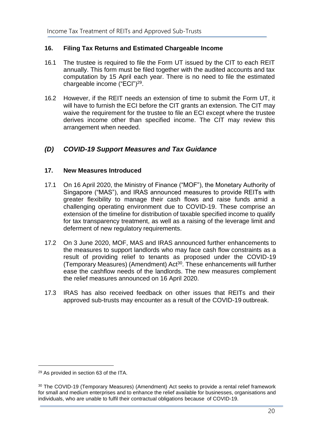## <span id="page-23-0"></span>**16. Filing Tax Returns and Estimated Chargeable Income**

- 16.1 The trustee is required to file the Form UT issued by the CIT to each REIT annually. This form must be filed together with the audited accounts and tax computation by 15 April each year. There is no need to file the estimated chargeable income ("ECI")<sup>29</sup>.
- 16.2 However, if the REIT needs an extension of time to submit the Form UT, it will have to furnish the ECI before the CIT grants an extension. The CIT may waive the requirement for the trustee to file an ECI except where the trustee derives income other than specified income. The CIT may review this arrangement when needed.

## <span id="page-23-1"></span>*(D) COVID-19 Support Measures and Tax Guidance*

## <span id="page-23-2"></span>**17. New Measures Introduced**

- 17.1 On 16 April 2020, the Ministry of Finance ("MOF"), the Monetary Authority of Singapore ("MAS"), and IRAS announced measures to provide REITs with greater flexibility to manage their cash flows and raise funds amid a challenging operating environment due to COVID-19. These comprise an extension of the timeline for distribution of taxable specified income to qualify for tax transparency treatment, as well as a raising of the leverage limit and deferment of new regulatory requirements.
- 17.2 On 3 June 2020, MOF, MAS and IRAS announced further enhancements to the measures to support landlords who may face cash flow constraints as a result of providing relief to tenants as proposed under the COVID-19 (Temporary Measures) (Amendment) Act<sup>30</sup>. These enhancements will further ease the cashflow needs of the landlords. The new measures complement the relief measures announced on 16 April 2020.
- 17.3 IRAS has also received feedback on other issues that REITs and their approved sub-trusts may encounter as a result of the COVID-19 outbreak.

<sup>29</sup> As provided in section 63 of the ITA.

<sup>30</sup> The COVID-19 (Temporary Measures) (Amendment) Act seeks to provide a rental relief framework for small and medium enterprises and to enhance the relief available for businesses, organisations and individuals, who are unable to fulfil their contractual obligations because of COVID-19.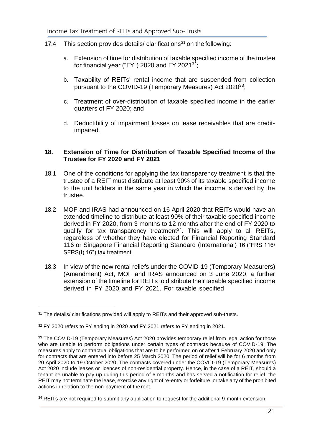- 17.4 This section provides details/ clarifications<sup>31</sup> on the following:
	- a. Extension of time for distribution of taxable specified income of the trustee for financial year ("FY") 2020 and FY 2021<sup>32</sup>;
	- b. Taxability of REITs' rental income that are suspended from collection pursuant to the COVID-19 (Temporary Measures) Act 2020<sup>33</sup>;
	- c. Treatment of over-distribution of taxable specified income in the earlier quarters of FY 2020; and
	- d. Deductibility of impairment losses on lease receivables that are creditimpaired.

## <span id="page-24-0"></span>**18. Extension of Time for Distribution of Taxable Specified Income of the Trustee for FY 2020 and FY 2021**

- 18.1 One of the conditions for applying the tax transparency treatment is that the trustee of a REIT must distribute at least 90% of its taxable specified income to the unit holders in the same year in which the income is derived by the trustee.
- 18.2 MOF and IRAS had announced on 16 April 2020 that REITs would have an extended timeline to distribute at least 90% of their taxable specified income derived in FY 2020, from 3 months to 12 months after the end of FY 2020 to qualify for tax transparency treatment<sup>34</sup>. This will apply to all REITs, regardless of whether they have elected for Financial Reporting Standard 116 or Singapore Financial Reporting Standard (International) 16 ("FRS 116/ SFRS(I) 16") tax treatment.
- 18.3 In view of the new rental reliefs under the COVID-19 (Temporary Measurers) (Amendment) Act, MOF and IRAS announced on 3 June 2020, a further extension of the timeline for REITs to distribute their taxable specified income derived in FY 2020 and FY 2021. For taxable specified

<sup>31</sup> The details/ clarifications provided will apply to REITs and their approved sub-trusts.

<sup>&</sup>lt;sup>32</sup> FY 2020 refers to FY ending in 2020 and FY 2021 refers to FY ending in 2021.

<sup>33</sup> The COVID-19 (Temporary Measures) Act 2020 provides temporary relief from legal action for those who are unable to perform obligations under certain types of contracts because of COVID-19. The measures apply to contractual obligations that are to be performed on or after 1 February 2020 and only for contracts that are entered into before 25 March 2020. The period of relief will be for 6 months from 20 April 2020 to 19 October 2020. The contracts covered under the COVID-19 (Temporary Measures) Act 2020 include leases or licences of non-residential property. Hence, in the case of a REIT, should a tenant be unable to pay up during this period of 6 months and has served a notification for relief, the REIT may not terminate the lease, exercise any right of re-entry or forfeiture, or take any of the prohibited actions in relation to the non-payment of therent.

<sup>&</sup>lt;sup>34</sup> REITs are not required to submit any application to request for the additional 9-month extension.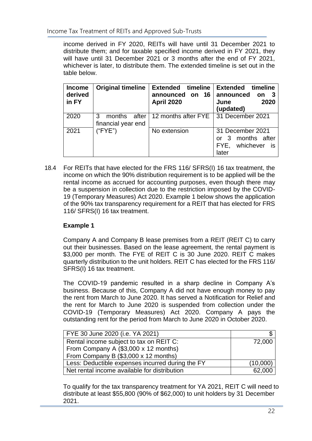income derived in FY 2020, REITs will have until 31 December 2021 to distribute them; and for taxable specified income derived in FY 2021, they will have until 31 December 2021 or 3 months after the end of FY 2021, whichever is later, to distribute them. The extended timeline is set out in the table below.

| <b>Income</b><br>derived<br>in FY | <b>Original timeline</b>                   | timeline<br><b>Extended</b><br>on 16<br>announced<br><b>April 2020</b> | timeline<br><b>Extended</b><br>announced<br>on<br>2020<br>June<br>(updated)                        |
|-----------------------------------|--------------------------------------------|------------------------------------------------------------------------|----------------------------------------------------------------------------------------------------|
| 2020                              | after<br>3<br>months<br>financial year end | 12 months after FYE   31 December 2021                                 |                                                                                                    |
| 2021                              | ("FYE")                                    | No extension                                                           | 31 December 2021<br>months after<br>$\overline{\mathbf{3}}$<br>or<br>whichever is<br>FYE.<br>later |

18.4 For REITs that have elected for the FRS 116/ SFRS(I) 16 tax treatment, the income on which the 90% distribution requirement is to be applied will be the rental income as accrued for accounting purposes, even though there may be a suspension in collection due to the restriction imposed by the COVID-19 (Temporary Measures) Act 2020. Example 1 below shows the application of the 90% tax transparency requirement for a REIT that has elected for FRS 116/ SFRS(I) 16 tax treatment.

## **Example 1**

Company A and Company B lease premises from a REIT (REIT C) to carry out their businesses. Based on the lease agreement, the rental payment is \$3,000 per month. The FYE of REIT C is 30 June 2020. REIT C makes quarterly distribution to the unit holders. REIT C has elected for the FRS 116/ SFRS(I) 16 tax treatment.

The COVID-19 pandemic resulted in a sharp decline in Company A's business. Because of this, Company A did not have enough money to pay the rent from March to June 2020. It has served a Notification for Relief and the rent for March to June 2020 is suspended from collection under the COVID-19 (Temporary Measures) Act 2020. Company A pays the outstanding rent for the period from March to June 2020 in October 2020.

| FYE 30 June 2020 (i.e. YA 2021)                  |          |
|--------------------------------------------------|----------|
| Rental income subject to tax on REIT C:          | 72,000   |
| From Company A (\$3,000 x 12 months)             |          |
| From Company B (\$3,000 x 12 months)             |          |
| Less: Deductible expenses incurred during the FY | (10,000) |
| Net rental income available for distribution     | 62,000   |

To qualify for the tax transparency treatment for YA 2021, REIT C will need to distribute at least \$55,800 (90% of \$62,000) to unit holders by 31 December 2021.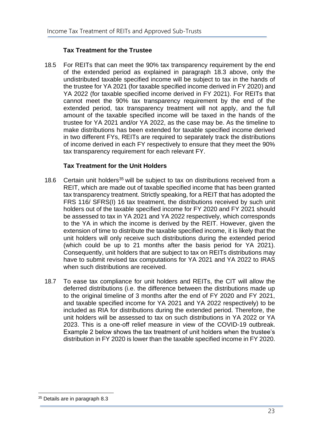## **Tax Treatment for the Trustee**

18.5 For REITs that can meet the 90% tax transparency requirement by the end of the extended period as explained in paragraph 18.3 above, only the undistributed taxable specified income will be subject to tax in the hands of the trustee for YA 2021 (for taxable specified income derived in FY 2020) and YA 2022 (for taxable specified income derived in FY 2021). For REITs that cannot meet the 90% tax transparency requirement by the end of the extended period, tax transparency treatment will not apply, and the full amount of the taxable specified income will be taxed in the hands of the trustee for YA 2021 and/or YA 2022, as the case may be. As the timeline to make distributions has been extended for taxable specified income derived in two different FYs, REITs are required to separately track the distributions of income derived in each FY respectively to ensure that they meet the 90% tax transparency requirement for each relevant FY.

## **Tax Treatment for the Unit Holders**

- 18.6 Certain unit holders<sup>35</sup> will be subject to tax on distributions received from a REIT, which are made out of taxable specified income that has been granted tax transparency treatment. Strictly speaking, for a REIT that has adopted the FRS 116/ SFRS(I) 16 tax treatment, the distributions received by such unit holders out of the taxable specified income for FY 2020 and FY 2021 should be assessed to tax in YA 2021 and YA 2022 respectively, which corresponds to the YA in which the income is derived by the REIT. However, given the extension of time to distribute the taxable specified income, it is likely that the unit holders will only receive such distributions during the extended period (which could be up to 21 months after the basis period for YA 2021). Consequently, unit holders that are subject to tax on REITs distributions may have to submit revised tax computations for YA 2021 and YA 2022 to IRAS when such distributions are received.
- 18.7 To ease tax compliance for unit holders and REITs, the CIT will allow the deferred distributions (i.e. the difference between the distributions made up to the original timeline of 3 months after the end of FY 2020 and FY 2021, and taxable specified income for YA 2021 and YA 2022 respectively) to be included as RIA for distributions during the extended period. Therefore, the unit holders will be assessed to tax on such distributions in YA 2022 or YA 2023. This is a one-off relief measure in view of the COVID-19 outbreak. Example 2 below shows the tax treatment of unit holders when the trustee's distribution in FY 2020 is lower than the taxable specified income in FY 2020.

<sup>&</sup>lt;sup>35</sup> Details are in paragraph 8.3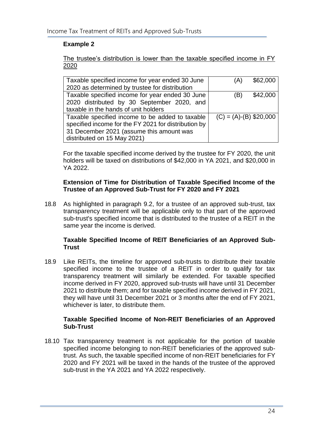## **Example 2**

The trustee's distribution is lower than the taxable specified income in FY 2020

| Taxable specified income for year ended 30 June      | \$62,000<br>'A)          |  |
|------------------------------------------------------|--------------------------|--|
| 2020 as determined by trustee for distribution       |                          |  |
| Taxable specified income for year ended 30 June      | \$42,000<br>ΈB)          |  |
| 2020 distributed by 30 September 2020, and           |                          |  |
| taxable in the hands of unit holders                 |                          |  |
| Taxable specified income to be added to taxable      | $(C) = (A)-(B)$ \$20,000 |  |
| specified income for the FY 2021 for distribution by |                          |  |
| 31 December 2021 (assume this amount was             |                          |  |
| distributed on 15 May 2021)                          |                          |  |

For the taxable specified income derived by the trustee for FY 2020, the unit holders will be taxed on distributions of \$42,000 in YA 2021, and \$20,000 in YA 2022.

## **Extension of Time for Distribution of Taxable Specified Income of the Trustee of an Approved Sub-Trust for FY 2020 and FY 2021**

18.8 As highlighted in paragraph 9.2, for a trustee of an approved sub-trust, tax transparency treatment will be applicable only to that part of the approved sub-trust's specified income that is distributed to the trustee of a REIT in the same year the income is derived.

## **Taxable Specified Income of REIT Beneficiaries of an Approved Sub-Trust**

18.9 Like REITs, the timeline for approved sub-trusts to distribute their taxable specified income to the trustee of a REIT in order to qualify for tax transparency treatment will similarly be extended. For taxable specified income derived in FY 2020, approved sub-trusts will have until 31 December 2021 to distribute them; and for taxable specified income derived in FY 2021, they will have until 31 December 2021 or 3 months after the end of FY 2021, whichever is later, to distribute them.

## **Taxable Specified Income of Non-REIT Beneficiaries of an Approved Sub-Trust**

18.10 Tax transparency treatment is not applicable for the portion of taxable specified income belonging to non-REIT beneficiaries of the approved subtrust. As such, the taxable specified income of non-REIT beneficiaries for FY 2020 and FY 2021 will be taxed in the hands of the trustee of the approved sub-trust in the YA 2021 and YA 2022 respectively.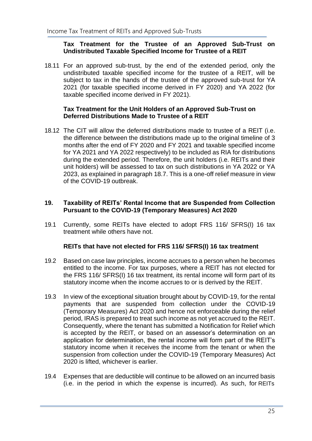#### **Tax Treatment for the Trustee of an Approved Sub-Trust on Undistributed Taxable Specified Income for Trustee of a REIT**

18.11 For an approved sub-trust, by the end of the extended period, only the undistributed taxable specified income for the trustee of a REIT, will be subject to tax in the hands of the trustee of the approved sub-trust for YA 2021 (for taxable specified income derived in FY 2020) and YA 2022 (for taxable specified income derived in FY 2021).

## **Tax Treatment for the Unit Holders of an Approved Sub-Trust on Deferred Distributions Made to Trustee of a REIT**

18.12 The CIT will allow the deferred distributions made to trustee of a REIT (i.e. the difference between the distributions made up to the original timeline of 3 months after the end of FY 2020 and FY 2021 and taxable specified income for YA 2021 and YA 2022 respectively) to be included as RIA for distributions during the extended period. Therefore, the unit holders (i.e. REITs and their unit holders) will be assessed to tax on such distributions in YA 2022 or YA 2023, as explained in paragraph 18.7. This is a one-off relief measure in view of the COVID-19 outbreak.

#### <span id="page-28-0"></span>**19. Taxability of REITs' Rental Income that are Suspended from Collection Pursuant to the COVID-19 (Temporary Measures) Act 2020**

19.1 Currently, some REITs have elected to adopt FRS 116/ SFRS(I) 16 tax treatment while others have not.

## **REITs that have not elected for FRS 116/ SFRS(I) 16 tax treatment**

- 19.2 Based on case law principles, income accrues to a person when he becomes entitled to the income. For tax purposes, where a REIT has not elected for the FRS 116/ SFRS(I) 16 tax treatment, its rental income will form part of its statutory income when the income accrues to or is derived by the REIT.
- 19.3 In view of the exceptional situation brought about by COVID-19, for the rental payments that are suspended from collection under the COVID-19 (Temporary Measures) Act 2020 and hence not enforceable during the relief period, IRAS is prepared to treat such income as not yet accrued to the REIT. Consequently, where the tenant has submitted a Notification for Relief which is accepted by the REIT, or based on an assessor's determination on an application for determination, the rental income will form part of the REIT's statutory income when it receives the income from the tenant or when the suspension from collection under the COVID-19 (Temporary Measures) Act 2020 is lifted, whichever is earlier.
- 19.4 Expenses that are deductible will continue to be allowed on an incurred basis (i.e. in the period in which the expense is incurred). As such, for REITs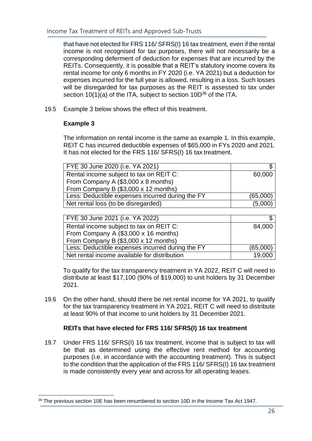that have not elected for FRS 116/ SFRS(I) 16 tax treatment, even if the rental income is not recognised for tax purposes, there will not necessarily be a corresponding deferment of deduction for expenses that are incurred by the REITs. Consequently, it is possible that a REIT's statutory income covers its rental income for only 6 months in FY 2020 (i.e. YA 2021) but a deduction for expenses incurred for the full year is allowed, resulting in a loss. Such losses will be disregarded for tax purposes as the REIT is assessed to tax under section  $10(1)(a)$  of the ITA, subject to section  $10D^{36}$  of the ITA.

19.5 Example 3 below shows the effect of this treatment.

## **Example 3**

The information on rental income is the same as example 1. In this example, REIT C has incurred deductible expenses of \$65,000 in FYs 2020 and 2021. It has not elected for the FRS 116/ SFRS(I) 16 tax treatment.

| FYE 30 June 2020 (i.e. YA 2021)                  |          |
|--------------------------------------------------|----------|
| Rental income subject to tax on REIT C:          | 60,000   |
| From Company A (\$3,000 x 8 months)              |          |
| From Company B (\$3,000 x 12 months)             |          |
| Less: Deductible expenses incurred during the FY | (65,000) |
| Net rental loss (to be disregarded)              | (5,000)  |

| FYE 30 June 2021 (i.e. YA 2022)                  |          |
|--------------------------------------------------|----------|
| Rental income subject to tax on REIT C:          | 84,000   |
| From Company A (\$3,000 x 16 months)             |          |
| From Company B (\$3,000 x 12 months)             |          |
| Less: Deductible expenses incurred during the FY | (65,000) |
| Net rental income available for distribution     | 19,000   |

To qualify for the tax transparency treatment in YA 2022, REIT C will need to distribute at least \$17,100 (90% of \$19,000) to unit holders by 31 December 2021.

19.6 On the other hand, should there be net rental income for YA 2021, to qualify for the tax transparency treatment in YA 2021, REIT C will need to distribute at least 90% of that income to unit holders by 31 December 2021.

## **REITs that have elected for FRS 116/ SFRS(I) 16 tax treatment**

19.7 Under FRS 116/ SFRS(I) 16 tax treatment, income that is subject to tax will be that as determined using the effective rent method for accounting purposes (i.e. in accordance with the accounting treatment). This is subject to the condition that the application of the FRS 116/ SFRS(I) 16 tax treatment is made consistently every year and across for all operating leases.

<sup>&</sup>lt;sup>36</sup> The previous section 10E has been renumbered to section 10D in the Income Tax Act 1947.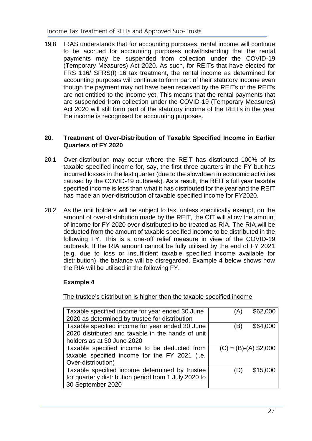19.8 IRAS understands that for accounting purposes, rental income will continue to be accrued for accounting purposes notwithstanding that the rental payments may be suspended from collection under the COVID-19 (Temporary Measures) Act 2020. As such, for REITs that have elected for FRS 116/ SFRS(I) 16 tax treatment, the rental income as determined for accounting purposes will continue to form part of their statutory income even though the payment may not have been received by the REITs or the REITs are not entitled to the income yet. This means that the rental payments that are suspended from collection under the COVID-19 (Temporary Measures) Act 2020 will still form part of the statutory income of the REITs in the year the income is recognised for accounting purposes.

#### <span id="page-30-0"></span>**20. Treatment of Over-Distribution of Taxable Specified Income in Earlier Quarters of FY 2020**

- 20.1 Over-distribution may occur where the REIT has distributed 100% of its taxable specified income for, say, the first three quarters in the FY but has incurred losses in the last quarter (due to the slowdown in economic activities caused by the COVID-19 outbreak). As a result, the REIT's full year taxable specified income is less than what it has distributed for the year and the REIT has made an over-distribution of taxable specified income for FY2020.
- 20.2 As the unit holders will be subject to tax, unless specifically exempt, on the amount of over-distribution made by the REIT, the CIT will allow the amount of income for FY 2020 over-distributed to be treated as RIA. The RIA will be deducted from the amount of taxable specified income to be distributed in the following FY. This is a one-off relief measure in view of the COVID-19 outbreak. If the RIA amount cannot be fully utilised by the end of FY 2021 (e.g. due to loss or insufficient taxable specified income available for distribution), the balance will be disregarded. Example 4 below shows how the RIA will be utilised in the following FY.

## **Example 4**

The trustee's distribution is higher than the taxable specified income

| Taxable specified income for year ended 30 June<br>2020 as determined by trustee for distribution                                  | \$62,000<br>'A.         |
|------------------------------------------------------------------------------------------------------------------------------------|-------------------------|
| Taxable specified income for year ended 30 June<br>2020 distributed and taxable in the hands of unit<br>holders as at 30 June 2020 | \$64,000<br>ΈB)         |
| Taxable specified income to be deducted from<br>taxable specified income for the FY 2021 (i.e.<br>Over-distribution)               | $(C) = (B)-(A)$ \$2,000 |
| Taxable specified income determined by trustee<br>for quarterly distribution period from 1 July 2020 to<br>30 September 2020       | \$15,000                |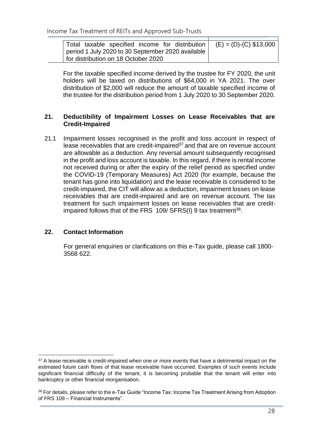| Total taxable specified income for distribution   | $(E) = (D)-(C)$ \$13,000 |
|---------------------------------------------------|--------------------------|
| period 1 July 2020 to 30 September 2020 available |                          |
| for distribution on 18 October 2020               |                          |

For the taxable specified income derived by the trustee for FY 2020, the unit holders will be taxed on distributions of \$64,000 in YA 2021. The over distribution of \$2,000 will reduce the amount of taxable specified income of the trustee for the distribution period from 1 July 2020 to 30 September 2020.

## <span id="page-31-0"></span>**21. Deductibility of Impairment Losses on Lease Receivables that are Credit-Impaired**

21.1 Impairment losses recognised in the profit and loss account in respect of lease receivables that are credit-impaired $37$  and that are on revenue account are allowable as a deduction. Any reversal amount subsequently recognised in the profit and loss account is taxable. In this regard, if there is rental income not received during or after the expiry of the relief period as specified under the COVID-19 (Temporary Measures) Act 2020 (for example, because the tenant has gone into liquidation) and the lease receivable is considered to be credit-impaired, the CIT will allow as a deduction, impairment losses on lease receivables that are credit-impaired and are on revenue account. The tax treatment for such impairment losses on lease receivables that are creditimpaired follows that of the FRS  $109/$  SFRS(I) 9 tax treatment<sup>38</sup>.

## <span id="page-31-1"></span>**22. Contact Information**

For general enquiries or clarifications on this e-Tax guide, please call 1800- 3568 622.

<sup>&</sup>lt;sup>37</sup> A lease receivable is credit-impaired when one or more events that have a detrimental impact on the estimated future cash flows of that lease receivable have occurred. Examples of such events include significant financial difficulty of the tenant, it is becoming probable that the tenant will enter into bankruptcy or other financial reorganisation.

<sup>38</sup> For details, please refer to the e-Tax Guide "Income Tax: Income Tax Treatment Arising from Adoption of FRS 109 – Financial Instruments".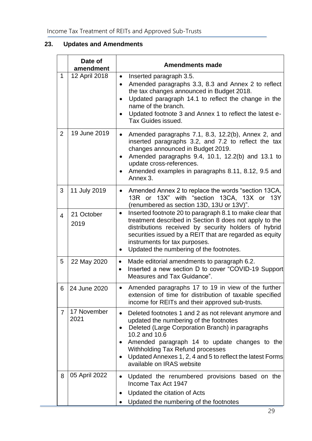# <span id="page-32-0"></span>**23. Updates and Amendments**

|                | Date of<br>amendment | <b>Amendments made</b>                                                                                                                                                                                                                                                                                                                                                                         |
|----------------|----------------------|------------------------------------------------------------------------------------------------------------------------------------------------------------------------------------------------------------------------------------------------------------------------------------------------------------------------------------------------------------------------------------------------|
| 1              | 12 April 2018        | Inserted paragraph 3.5.<br>$\bullet$<br>Amended paragraphs 3.3, 8.3 and Annex 2 to reflect<br>٠<br>the tax changes announced in Budget 2018.<br>Updated paragraph 14.1 to reflect the change in the<br>$\bullet$<br>name of the branch.<br>Updated footnote 3 and Annex 1 to reflect the latest e-<br>Tax Guides issued.                                                                       |
| 2              | 19 June 2019         | Amended paragraphs 7.1, 8.3, 12.2(b), Annex 2, and<br>$\bullet$<br>inserted paragraphs 3.2, and 7.2 to reflect the tax<br>changes announced in Budget 2019.<br>Amended paragraphs 9.4, 10.1, 12.2(b) and 13.1 to<br>update cross-references.<br>Amended examples in paragraphs 8.11, 8.12, 9.5 and<br>$\bullet$<br>Annex 3.                                                                    |
| 3              | 11 July 2019         | Amended Annex 2 to replace the words "section 13CA,<br>$\bullet$<br>13R or 13X" with "section 13CA, 13X or 13Y<br>(renumbered as section 13D, 13U or 13V)".                                                                                                                                                                                                                                    |
| $\overline{4}$ | 21 October<br>2019   | Inserted footnote 20 to paragraph 8.1 to make clear that<br>$\bullet$<br>treatment described in Section 8 does not apply to the<br>distributions received by security holders of hybrid<br>securities issued by a REIT that are regarded as equity<br>instruments for tax purposes.<br>Updated the numbering of the footnotes.<br>$\bullet$                                                    |
| 5              | 22 May 2020          | Made editorial amendments to paragraph 6.2.<br>$\bullet$<br>Inserted a new section D to cover "COVID-19 Support<br>$\bullet$<br>Measures and Tax Guidance".                                                                                                                                                                                                                                    |
| 6              | 24 June 2020         | Amended paragraphs 17 to 19 in view of the further<br>$\bullet$<br>extension of time for distribution of taxable specified<br>income for REITs and their approved sub-trusts.                                                                                                                                                                                                                  |
| 7              | 17 November<br>2021  | Deleted footnotes 1 and 2 as not relevant anymore and<br>$\bullet$<br>updated the numbering of the footnotes<br>Deleted (Large Corporation Branch) in paragraphs<br>$\bullet$<br>10.2 and 10.6<br>Amended paragraph 14 to update changes to the<br>٠<br><b>Withholding Tax Refund processes</b><br>Updated Annexes 1, 2, 4 and 5 to reflect the latest Forms<br>٠<br>available on IRAS website |
| 8              | 05 April 2022        | Updated the renumbered provisions based on the<br>Income Tax Act 1947<br>Updated the citation of Acts<br>Updated the numbering of the footnotes                                                                                                                                                                                                                                                |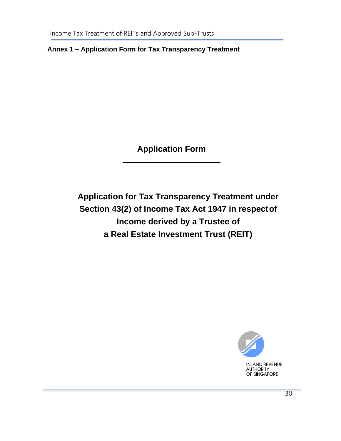<span id="page-33-0"></span>**Annex 1 – Application Form for Tax Transparency Treatment**

**Application Form**

**Application for Tax Transparency Treatment under Section 43(2) of Income Tax Act 1947 in respectof Income derived by a Trustee of a Real Estate Investment Trust (REIT)**

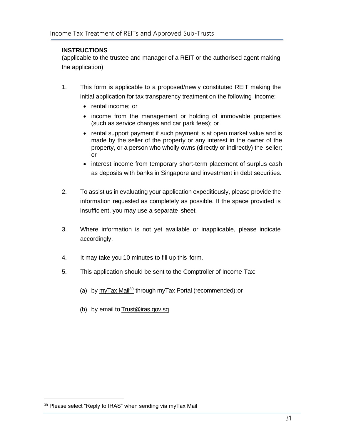#### **INSTRUCTIONS**

(applicable to the trustee and manager of a REIT or the authorised agent making the application)

- 1. This form is applicable to a proposed/newly constituted REIT making the initial application for tax transparency treatment on the following income:
	- rental income; or
	- income from the management or holding of immovable properties (such as service charges and car park fees); or
	- rental support payment if such payment is at open market value and is made by the seller of the property or any interest in the owner of the property, or a person who wholly owns (directly or indirectly) the seller; or
	- interest income from temporary short-term placement of surplus cash as deposits with banks in Singapore and investment in debt securities.
- 2. To assist us in evaluating your application expeditiously, please provide the information requested as completely as possible. If the space provided is insufficient, you may use a separate sheet.
- 3. Where information is not yet available or inapplicable, please indicate accordingly.
- 4. It may take you 10 minutes to fill up this form.
- 5. This application should be sent to the Comptroller of Income Tax:
	- (a) by  $myTax Mail^{39}$  through myTax Portal (recommended); or
	- (b) by email to [Trust@iras.gov.sg](mailto:Trust@iras.gov.sg)

<sup>&</sup>lt;sup>39</sup> Please select "Reply to IRAS" when sending via myTax Mail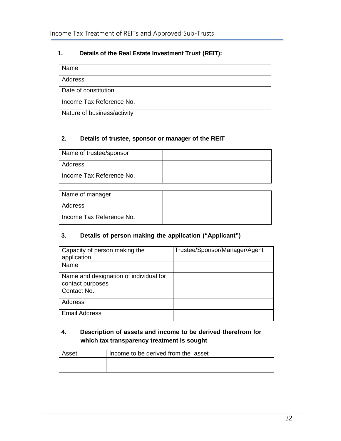## **1. Details of the Real Estate Investment Trust (REIT):**

| Name                        |  |
|-----------------------------|--|
| Address                     |  |
| Date of constitution        |  |
| Income Tax Reference No.    |  |
| Nature of business/activity |  |

## **2. Details of trustee, sponsor or manager of the REIT**

| Name of trustee/sponsor  |  |
|--------------------------|--|
| Address                  |  |
| Income Tax Reference No. |  |

| Name of manager          |  |
|--------------------------|--|
| Address                  |  |
| Income Tax Reference No. |  |

#### **3. Details of person making the application ("Applicant")**

| Capacity of person making the<br>application               | Trustee/Sponsor/Manager/Agent |
|------------------------------------------------------------|-------------------------------|
| Name                                                       |                               |
| Name and designation of individual for<br>contact purposes |                               |
| Contact No.                                                |                               |
| <b>Address</b>                                             |                               |
| <b>Email Address</b>                                       |                               |

## **4. Description of assets and income to be derived therefrom for which tax transparency treatment is sought**

| Asset | Income to be derived from the asset |
|-------|-------------------------------------|
|       |                                     |
|       |                                     |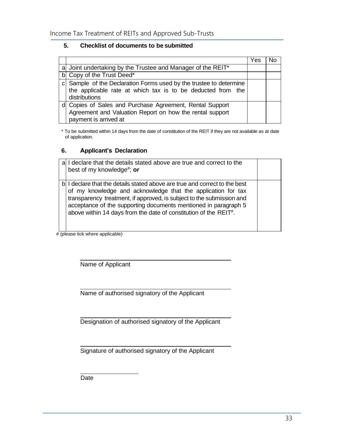#### **5. Checklist of documents to be submitted**

|                                                                                                                                                    | Yes |  |
|----------------------------------------------------------------------------------------------------------------------------------------------------|-----|--|
| a Joint undertaking by the Trustee and Manager of the REIT*                                                                                        |     |  |
| b Copy of the Trust Deed*                                                                                                                          |     |  |
| c Sample of the Declaration Forms used by the trustee to determine<br>the applicable rate at which tax is to be deducted from the<br>distributions |     |  |
| d Copies of Sales and Purchase Agreement, Rental Support<br>Agreement and Valuation Report on how the rental support<br>payment is arrived at      |     |  |

\* To be submitted within 14 days from the date of constitution of the REIT if they are not available as at date of application.

#### **6. Applicant's Declaration**

| I declare that the details stated above are true and correct to the<br>best of my knowledge <sup>#</sup> ; or                                                                                                                                                                                                                                                           |  |
|-------------------------------------------------------------------------------------------------------------------------------------------------------------------------------------------------------------------------------------------------------------------------------------------------------------------------------------------------------------------------|--|
| b I declare that the details stated above are true and correct to the best<br>of my knowledge and acknowledge that the application for tax<br>transparency treatment, if approved, is subject to the submission and<br>acceptance of the supporting documents mentioned in paragraph 5<br>above within 14 days from the date of constitution of the REIT <sup>#</sup> . |  |

# (please tick where applicable)

Name of Applicant

Name of authorised signatory of the Applicant

Designation of authorised signatory of the Applicant

Signature of authorised signatory of the Applicant

Date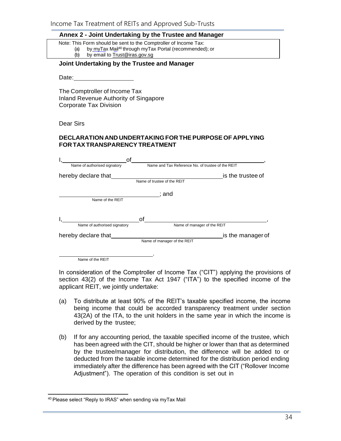## **Annex 2 - Joint Undertaking by the Trustee and Manager**

|  |  |  |  |  |  | Note: This Form should be sent to the Comptroller of Income Tax: |        |
|--|--|--|--|--|--|------------------------------------------------------------------|--------|
|  |  |  |  |  |  |                                                                  | $\sim$ |

- (a) by myTax Mail<sup>40</sup> [through myTax P](mailto:Trust@iras.gov.sg)ortal (recommended); or
- (b) by email to [Trust@iras.gov.sg](mailto:Trust@iras.gov.sg)

#### <span id="page-37-0"></span>**Joint Undertaking by the Trustee and Manager**

Date:

The Comptroller of Income Tax Inland Revenue Authority of Singapore Corporate Tax Division

Dear Sirs

#### **DECLARATION AND UNDERTAKINGFOR THEPURPOSE OF APPLYING FOR TAXTRANSPARENCYTREATMENT**

| оf                           |                                                   |  |
|------------------------------|---------------------------------------------------|--|
| Name of authorised signatory | Name and Tax Reference No. of trustee of the REIT |  |
| hereby declare that          | is the trustee of                                 |  |
|                              | Name of trustee of the REIT                       |  |
|                              | : and                                             |  |
| Name of the REIT             |                                                   |  |
|                              |                                                   |  |
|                              | Ωf                                                |  |
| Name of authorised signatory | Name of manager of the REIT                       |  |
| hereby declare that          | is the manager of                                 |  |
|                              | Name of manager of the REIT                       |  |
|                              |                                                   |  |
| Name of the REIT             |                                                   |  |

In consideration of the Comptroller of Income Tax ("CIT") applying the provisions of section 43(2) of the Income Tax Act 1947 ("ITA") to the specified income of the applicant REIT, we jointly undertake:

- (a) To distribute at least 90% of the REIT's taxable specified income, the income being income that could be accorded transparency treatment under section 43(2A) of the ITA, to the unit holders in the same year in which the income is derived by the trustee;
- (b) If for any accounting period, the taxable specified income of the trustee, which has been agreed with the CIT, should be higher or lower than that as determined by the trustee/manager for distribution, the difference will be added to or deducted from the taxable income determined for the distribution period ending immediately after the difference has been agreed with the CIT ("Rollover Income Adjustment"). The operation of this condition is set out in

<sup>40</sup> Please select "Reply to IRAS" when sending via myTax Mail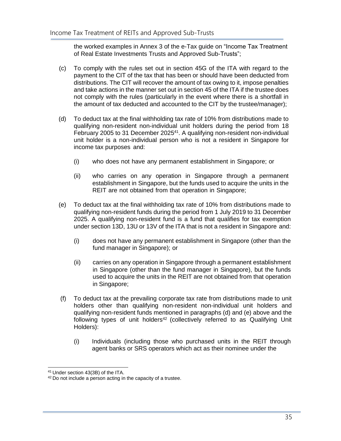the worked examples in Annex 3 of the e-Tax guide on "Income Tax Treatment of Real Estate Investments Trusts and Approved Sub-Trusts";

- (c) To comply with the rules set out in section 45G of the ITA with regard to the payment to the CIT of the tax that has been or should have been deducted from distributions. The CIT will recover the amount of tax owing to it, impose penalties and take actions in the manner set out in section 45 of the ITA if the trustee does not comply with the rules (particularly in the event where there is a shortfall in the amount of tax deducted and accounted to the CIT by the trustee/manager);
- (d) To deduct tax at the final withholding tax rate of 10% from distributions made to qualifying non-resident non-individual unit holders during the period from 18 February 2005 to 31 December 2025<sup>41</sup>. A qualifying non-resident non-individual unit holder is a non-individual person who is not a resident in Singapore for income tax purposes and:
	- (i) who does not have any permanent establishment in Singapore; or
	- (ii) who carries on any operation in Singapore through a permanent establishment in Singapore, but the funds used to acquire the units in the REIT are not obtained from that operation in Singapore;
- (e) To deduct tax at the final withholding tax rate of 10% from distributions made to qualifying non-resident funds during the period from 1 July 2019 to 31 December 2025. A qualifying non-resident fund is a fund that qualifies for tax exemption under section 13D, 13U or 13V of the ITA that is not a resident in Singapore and:
	- (i) does not have any permanent establishment in Singapore (other than the fund manager in Singapore); or
	- (ii) carries on any operation in Singapore through a permanent establishment in Singapore (other than the fund manager in Singapore), but the funds used to acquire the units in the REIT are not obtained from that operation in Singapore;
- (f) To deduct tax at the prevailing corporate tax rate from distributions made to unit holders other than qualifying non-resident non-individual unit holders and qualifying non-resident funds mentioned in paragraphs (d) and (e) above and the following types of unit holders<sup>42</sup> (collectively referred to as Qualifying Unit Holders):
	- (i) Individuals (including those who purchased units in the REIT through agent banks or SRS operators which act as their nominee under the

<sup>41</sup> Under section 43(3B) of the ITA.

<sup>&</sup>lt;sup>42</sup> Do not include a person acting in the capacity of a trustee.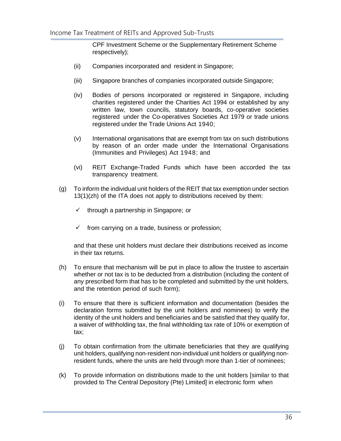CPF Investment Scheme or the Supplementary Retirement Scheme respectively);

- (ii) Companies incorporated and resident in Singapore;
- (iii) Singapore branches of companies incorporated outside Singapore;
- (iv) Bodies of persons incorporated or registered in Singapore, including charities registered under the Charities Act 1994 or established by any written law, town councils, statutory boards, co-operative societies registered under the Co-operatives Societies Act 1979 or trade unions registered under the Trade Unions Act 1940;
- (v) International organisations that are exempt from tax on such distributions by reason of an order made under the International Organisations (Immunities and Privileges) Act 1948; and
- (vi) REIT Exchange-Traded Funds which have been accorded the tax transparency treatment.
- (g) To inform the individual unit holders of the REIT that tax exemption under section 13(1)(zh) of the ITA does not apply to distributions received by them:
	- $\checkmark$  through a partnership in Singapore; or
	- $\checkmark$  from carrying on a trade, business or profession;

and that these unit holders must declare their distributions received as income in their tax returns.

- (h) To ensure that mechanism will be put in place to allow the trustee to ascertain whether or not tax is to be deducted from a distribution (including the content of any prescribed form that has to be completed and submitted by the unit holders, and the retention period of such form);
- (i) To ensure that there is sufficient information and documentation (besides the declaration forms submitted by the unit holders and nominees) to verify the identity of the unit holders and beneficiaries and be satisfied that they qualify for, a waiver of withholding tax, the final withholding tax rate of 10% or exemption of tax;
- (j) To obtain confirmation from the ultimate beneficiaries that they are qualifying unit holders, qualifying non-resident non-individual unit holders or qualifying nonresident funds, where the units are held through more than 1-tier of nominees;
- (k) To provide information on distributions made to the unit holders [similar to that provided to The Central Depository (Pte) Limited] in electronic form when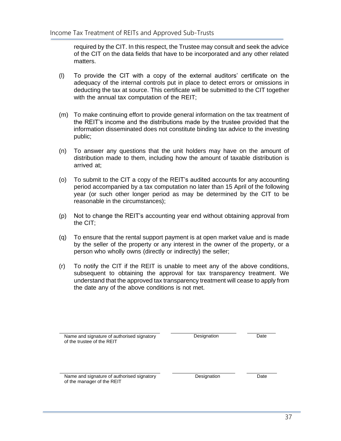required by the CIT. In this respect, the Trustee may consult and seek the advice of the CIT on the data fields that have to be incorporated and any other related matters.

- (l) To provide the CIT with a copy of the external auditors' certificate on the adequacy of the internal controls put in place to detect errors or omissions in deducting the tax at source. This certificate will be submitted to the CIT together with the annual tax computation of the REIT;
- (m) To make continuing effort to provide general information on the tax treatment of the REIT's income and the distributions made by the trustee provided that the information disseminated does not constitute binding tax advice to the investing public;
- (n) To answer any questions that the unit holders may have on the amount of distribution made to them, including how the amount of taxable distribution is arrived at;
- (o) To submit to the CIT a copy of the REIT's audited accounts for any accounting period accompanied by a tax computation no later than 15 April of the following year (or such other longer period as may be determined by the CIT to be reasonable in the circumstances);
- (p) Not to change the REIT's accounting year end without obtaining approval from the CIT;
- (q) To ensure that the rental support payment is at open market value and is made by the seller of the property or any interest in the owner of the property, or a person who wholly owns (directly or indirectly) the seller;
- (r) To notify the CIT if the REIT is unable to meet any of the above conditions, subsequent to obtaining the approval for tax transparency treatment. We understand that the approved tax transparency treatment will cease to apply from the date any of the above conditions is not met.

| Name and signature of authorised signatory<br>of the trustee of the REIT | Designation | Date |
|--------------------------------------------------------------------------|-------------|------|
| Name and signature of authorised signatory<br>of the manager of the REIT | Designation | Date |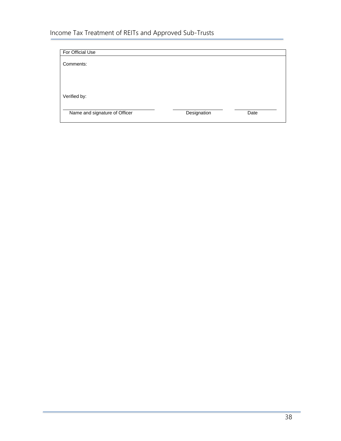| For Official Use              |             |      |
|-------------------------------|-------------|------|
| Comments:                     |             |      |
|                               |             |      |
|                               |             |      |
|                               |             |      |
| Verified by:                  |             |      |
| Name and signature of Officer | Designation | Date |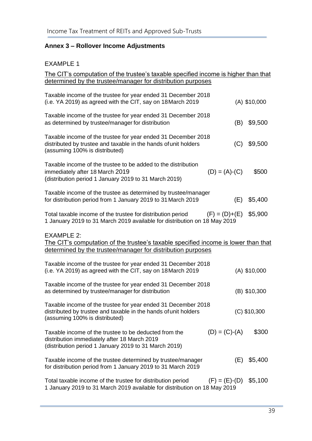# <span id="page-42-0"></span>**Annex 3 – Rollover Income Adjustments**

# EXAMPLE 1

| The CIT's computation of the trustee's taxable specified income is higher than that                                                                                    |                   |                |
|------------------------------------------------------------------------------------------------------------------------------------------------------------------------|-------------------|----------------|
| determined by the trustee/manager for distribution purposes                                                                                                            |                   |                |
| Taxable income of the trustee for year ended 31 December 2018<br>(i.e. YA 2019) as agreed with the CIT, say on 18 March 2019                                           |                   | $(A)$ \$10,000 |
| Taxable income of the trustee for year ended 31 December 2018<br>as determined by trustee/manager for distribution                                                     | (B)               | \$9,500        |
| Taxable income of the trustee for year ended 31 December 2018<br>distributed by trustee and taxable in the hands of unit holders<br>(assuming 100% is distributed)     | (C)               | \$9,500        |
| Taxable income of the trustee to be added to the distribution<br>immediately after 18 March 2019<br>(distribution period 1 January 2019 to 31 March 2019)              | $(D) = (A) - (C)$ | \$500          |
| Taxable income of the trustee as determined by trustee/manager<br>for distribution period from 1 January 2019 to 31 March 2019                                         | (E)               | \$5,400        |
| Total taxable income of the trustee for distribution period<br>1 January 2019 to 31 March 2019 available for distribution on 18 May 2019                               | $(F) = (D)+(E)$   | \$5,900        |
| <b>EXAMPLE 2:</b><br>The CIT's computation of the trustee's taxable specified income is lower than that<br>determined by the trustee/manager for distribution purposes |                   |                |
| Taxable income of the trustee for year ended 31 December 2018<br>(i.e. YA 2019) as agreed with the CIT, say on 18 March 2019                                           |                   | $(A)$ \$10,000 |
| Taxable income of the trustee for year ended 31 December 2018<br>as determined by trustee/manager for distribution                                                     |                   | (B) \$10,300   |
| Taxable income of the trustee for year ended 31 December 2018<br>distributed by trustee and taxable in the hands of unit holders<br>(assuming 100% is distributed)     |                   | $(C)$ \$10,300 |
| Taxable income of the trustee to be deducted from the<br>distribution immediately after 18 March 2019<br>(distribution period 1 January 2019 to 31 March 2019)         | $(D) = (C)-(A)$   | \$300          |
| Taxable income of the trustee determined by trustee/manager<br>for distribution period from 1 January 2019 to 31 March 2019                                            | (E)               | \$5,400        |
| Total taxable income of the trustee for distribution period<br>1 January 2019 to 31 March 2019 available for distribution on 18 May 2019                               | $(F) = (E)-(D)$   | \$5,100        |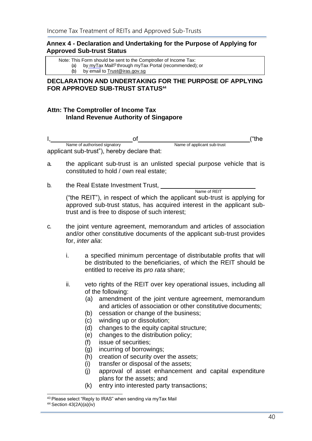## <span id="page-43-0"></span>**Annex 4 - Declaration and Undertaking for the Purpose of Applying for Approved Sub-trust Status**

Note: This Form should be sent to the Comptroller of Income Tax:

- (a) by  $\frac{myTax}{ma^{13}}$  through myTax Portal (recommended); or (b) by email to  $\frac{Trust@iras.govsg}$
- by email to [Trust@iras.gov.sg](mailto:Trust@iras.gov.sg)

## **DECLARATION AND UNDERTAKING FOR THE PURPOSE OF APPLYING FOR APPROVED SUB-TRUST STATUS<sup>44</sup>**

## **Attn: The Comptroller of Income Tax Inland Revenue Authority of Singapore**

|                                             |                             | t"the |
|---------------------------------------------|-----------------------------|-------|
| Name of authorised signatory                | Name of applicant sub-trust |       |
| applicant sub-trust"), hereby declare that: |                             |       |

- a. the applicant sub-trust is an unlisted special purpose vehicle that is constituted to hold / own real estate;
- b. the Real Estate Investment Trust,

Name of REIT ("the REIT"), in respect of which the applicant sub-trust is applying for approved sub-trust status, has acquired interest in the applicant subtrust and is free to dispose of such interest;

- c. the joint venture agreement, memorandum and articles of association and/or other constitutive documents of the applicant sub-trust provides for, *inter alia*:
	- i. a specified minimum percentage of distributable profits that will be distributed to the beneficiaries, of which the REIT should be entitled to receive its *pro rata* share;
	- ii. veto rights of the REIT over key operational issues, including all of the following:
		- (a) amendment of the joint venture agreement, memorandum and articles of association or other constitutive documents;
		- (b) cessation or change of the business;
		- (c) winding up or dissolution;
		- (d) changes to the equity capital structure;
		- (e) changes to the distribution policy;
		- (f) issue of securities;
		- (g) incurring of borrowings;
		- (h) creation of security over the assets;
		- (i) transfer or disposal of the assets;
		- (j) approval of asset enhancement and capital expenditure plans for the assets; and
		- (k) entry into interested party transactions;

<sup>43</sup> Please select "Reply to IRAS" when sending via myTax Mail

<sup>44</sup> Section 43(2A)(a)(iv)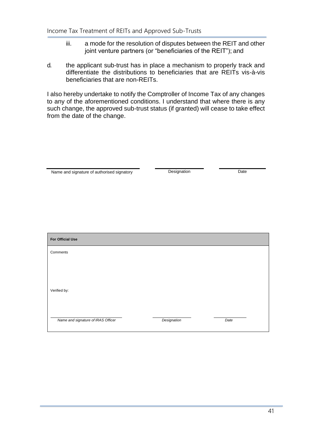- iii. a mode for the resolution of disputes between the REIT and other joint venture partners (or "beneficiaries of the REIT"); and
- d. the applicant sub-trust has in place a mechanism to properly track and differentiate the distributions to beneficiaries that are REITs vis-à-vis beneficiaries that are non-REITs.

I also hereby undertake to notify the Comptroller of Income Tax of any changes to any of the aforementioned conditions. I understand that where there is any such change, the approved sub-trust status (if granted) will cease to take effect from the date of the change.

| Name and signature of authorised signatory | Designation | Date |  |  |
|--------------------------------------------|-------------|------|--|--|
|                                            |             |      |  |  |
|                                            |             |      |  |  |
|                                            |             |      |  |  |
|                                            |             |      |  |  |
|                                            |             |      |  |  |
|                                            |             |      |  |  |
| For Official Use                           |             |      |  |  |
| Comments                                   |             |      |  |  |
|                                            |             |      |  |  |
|                                            |             |      |  |  |
|                                            |             |      |  |  |
| Verified by:                               |             |      |  |  |

*Name and signature of IRAS Officer Designation Date*